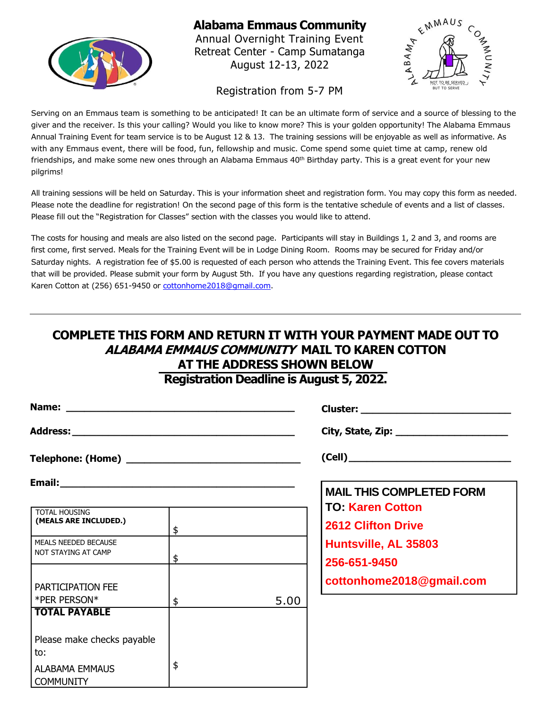

## **Alabama Emmaus Community**

Annual Overnight Training Event Retreat Center - Camp Sumatanga August 12-13, 2022



#### Registration from 5-7 PM

Serving on an Emmaus team is something to be anticipated! It can be an ultimate form of service and a source of blessing to the giver and the receiver. Is this your calling? Would you like to know more? This is your golden opportunity! The Alabama Emmaus Annual Training Event for team service is to be August 12 & 13. The training sessions will be enjoyable as well as informative. As with any Emmaus event, there will be food, fun, fellowship and music. Come spend some quiet time at camp, renew old friendships, and make some new ones through an Alabama Emmaus 40<sup>th</sup> Birthday party. This is a great event for your new pilgrims!

All training sessions will be held on Saturday. This is your information sheet and registration form. You may copy this form as needed. Please note the deadline for registration! On the second page of this form is the tentative schedule of events and a list of classes. Please fill out the "Registration for Classes" section with the classes you would like to attend.

The costs for housing and meals are also listed on the second page. Participants will stay in Buildings 1, 2 and 3, and rooms are first come, first served. Meals for the Training Event will be in Lodge Dining Room. Rooms may be secured for Friday and/or Saturday nights. A registration fee of \$5.00 is requested of each person who attends the Training Event. This fee covers materials that will be provided. Please submit your form by August 5th. If you have any questions regarding registration, please contact Karen Cotton at (256) 651-9450 or cottonhome2018@gmail.com.

## **COMPLETE THIS FORM AND RETURN IT WITH YOUR PAYMENT MADE OUT TO ALABAMA EMMAUS COMMUNITY MAIL TO KAREN COTTON AT THE ADDRESS SHOWN BELOW**

**Registration Deadline is August 5, 2022.**

|                                                                                |    |      | Cluster: _________________________________           |  |
|--------------------------------------------------------------------------------|----|------|------------------------------------------------------|--|
|                                                                                |    |      | (Cell)                                               |  |
|                                                                                |    |      |                                                      |  |
| <b>TOTAL HOUSING</b><br>(MEALS ARE INCLUDED.)                                  | \$ |      | <b>TO: Karen Cotton</b><br><b>2612 Clifton Drive</b> |  |
| <b>MEALS NEEDED BECAUSE</b><br>NOT STAYING AT CAMP                             | \$ |      | Huntsville, AL 35803<br>256-651-9450                 |  |
| PARTICIPATION FEE                                                              |    |      | cottonhome2018@gmail.com                             |  |
| *PER PERSON*<br><b>TOTAL PAYABLE</b>                                           | \$ | 5.00 |                                                      |  |
| Please make checks payable<br>to:<br><b>ALABAMA EMMAUS</b><br><b>COMMUNITY</b> | \$ |      |                                                      |  |